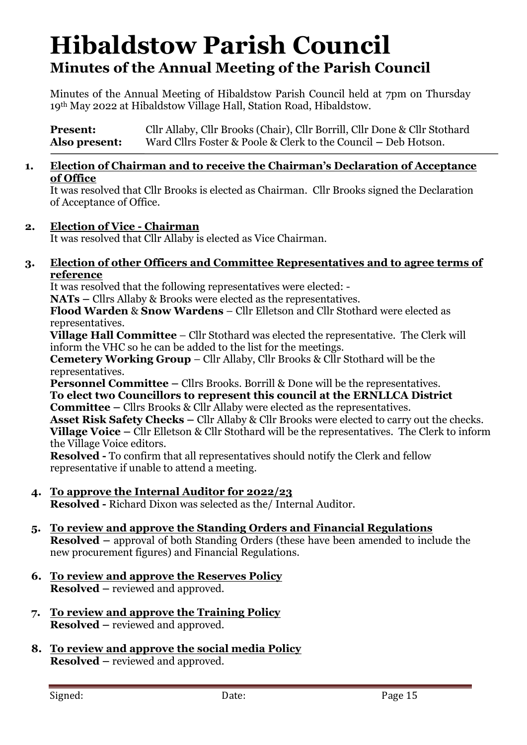# **Hibaldstow Parish Council Minutes of the Annual Meeting of the Parish Council**

Minutes of the Annual Meeting of Hibaldstow Parish Council held at 7pm on Thursday 19th May 2022 at Hibaldstow Village Hall, Station Road, Hibaldstow.

**Present:** Cllr Allaby, Cllr Brooks (Chair), Cllr Borrill, Cllr Done & Cllr Stothard **Also present:** Ward Cllrs Foster & Poole & Clerk to the Council **–** Deb Hotson.

#### **1. Election of Chairman and to receive the Chairman's Declaration of Acceptance of Office**

It was resolved that Cllr Brooks is elected as Chairman. Cllr Brooks signed the Declaration of Acceptance of Office.

### **2. Election of Vice - Chairman**

It was resolved that Cllr Allaby is elected as Vice Chairman.

#### **3. Election of other Officers and Committee Representatives and to agree terms of reference**

It was resolved that the following representatives were elected: -

**NATs –** Cllrs Allaby & Brooks were elected as the representatives.

**Flood Warden** & **Snow Wardens** – Cllr Elletson and Cllr Stothard were elected as representatives.

**Village Hall Committee** – Cllr Stothard was elected the representative. The Clerk will inform the VHC so he can be added to the list for the meetings.

**Cemetery Working Group** – Cllr Allaby, Cllr Brooks & Cllr Stothard will be the representatives.

**Personnel Committee** – Cllrs Brooks. Borrill & Done will be the representatives. **To elect two Councillors to represent this council at the ERNLLCA District Committee –** Cllrs Brooks & Cllr Allaby were elected as the representatives. **Asset Risk Safety Checks –** Cllr Allaby & Cllr Brooks were elected to carry out the checks. **Village Voice –** Cllr Elletson & Cllr Stothard will be the representatives. The Clerk to inform the Village Voice editors.

**Resolved -** To confirm that all representatives should notify the Clerk and fellow representative if unable to attend a meeting.

**4. To approve the Internal Auditor for 2022/23**

**Resolved -** Richard Dixon was selected as the/ Internal Auditor.

- **5. To review and approve the Standing Orders and Financial Regulations Resolved –** approval of both Standing Orders (these have been amended to include the new procurement figures) and Financial Regulations.
- **6. To review and approve the Reserves Policy Resolved –** reviewed and approved.
- **7. To review and approve the Training Policy Resolved –** reviewed and approved.
- **8. To review and approve the social media Policy Resolved –** reviewed and approved.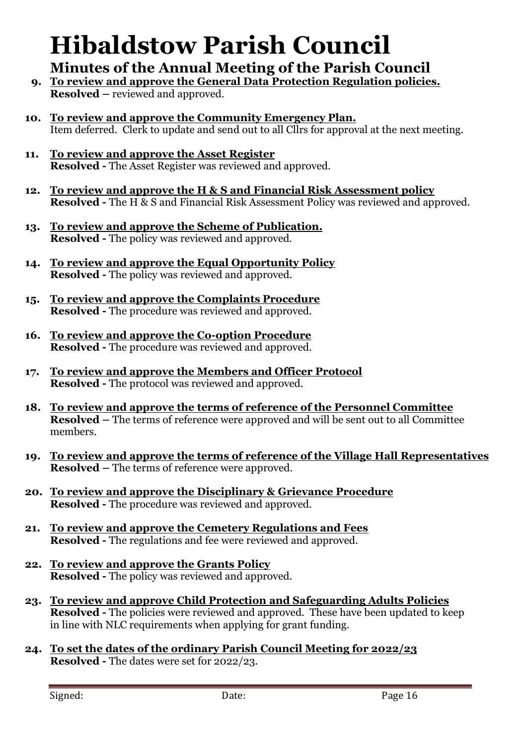# **Hibaldstow Parish Council**

## **Minutes of the Annual Meeting of the Parish Council**

- **9. To review and approve the General Data Protection Regulation policies. Resolved –** reviewed and approved.
- **10. To review and approve the Community Emergency Plan.** Item deferred. Clerk to update and send out to all Cllrs for approval at the next meeting.
- **11. To review and approve the Asset Register Resolved -** The Asset Register was reviewed and approved.
- **12. To review and approve the H & S and Financial Risk Assessment policy Resolved -** The H & S and Financial Risk Assessment Policy was reviewed and approved.
- **13. To review and approve the Scheme of Publication. Resolved -** The policy was reviewed and approved.
- **14. To review and approve the Equal Opportunity Policy Resolved -** The policy was reviewed and approved.
- **15. To review and approve the Complaints Procedure Resolved -** The procedure was reviewed and approved.
- **16. To review and approve the Co-option Procedure Resolved -** The procedure was reviewed and approved.
- **17. To review and approve the Members and Officer Protocol Resolved -** The protocol was reviewed and approved.
- **18. To review and approve the terms of reference of the Personnel Committee Resolved –** The terms of reference were approved and will be sent out to all Committee members.
- **19. To review and approve the terms of reference of the Village Hall Representatives Resolved –** The terms of reference were approved.
- **20. To review and approve the Disciplinary & Grievance Procedure Resolved -** The procedure was reviewed and approved.
- **21. To review and approve the Cemetery Regulations and Fees Resolved -** The regulations and fee were reviewed and approved.
- **22. To review and approve the Grants Policy Resolved -** The policy was reviewed and approved.
- **23. To review and approve Child Protection and Safeguarding Adults Policies Resolved -** The policies were reviewed and approved. These have been updated to keep in line with NLC requirements when applying for grant funding.
- **24. To set the dates of the ordinary Parish Council Meeting for 2022/23 Resolved -** The dates were set for 2022/23.